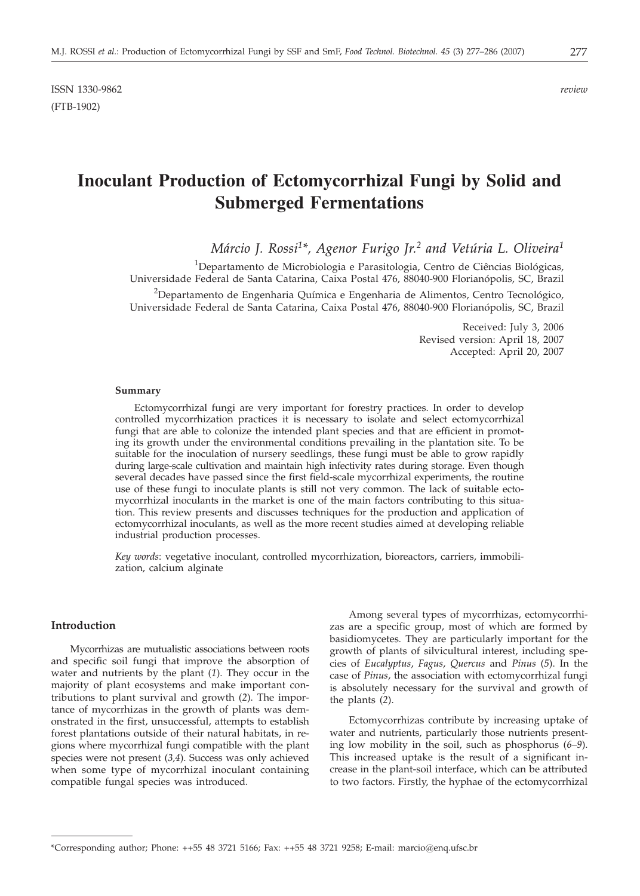ISSN 1330-9862 *review* (FTB-1902)

# **Inoculant Production of Ectomycorrhizal Fungi by Solid and Submerged Fermentations**

*Márcio J. Rossi1\*, Agenor Furigo Jr.2 and Vetúria L. Oliveira1*

<sup>1</sup>Departamento de Microbiologia e Parasitologia, Centro de Ciências Biológicas, Universidade Federal de Santa Catarina, Caixa Postal 476, 88040-900 Florianópolis, SC, Brazil

<sup>2</sup>Departamento de Engenharia Química e Engenharia de Alimentos, Centro Tecnológico, Universidade Federal de Santa Catarina, Caixa Postal 476, 88040-900 Florianópolis, SC, Brazil

> Received: July 3, 2006 Revised version: April 18, 2007 Accepted: April 20, 2007

#### **Summary**

Ectomycorrhizal fungi are very important for forestry practices. In order to develop controlled mycorrhization practices it is necessary to isolate and select ectomycorrhizal fungi that are able to colonize the intended plant species and that are efficient in promoting its growth under the environmental conditions prevailing in the plantation site. To be suitable for the inoculation of nursery seedlings, these fungi must be able to grow rapidly during large-scale cultivation and maintain high infectivity rates during storage. Even though several decades have passed since the first field-scale mycorrhizal experiments, the routine use of these fungi to inoculate plants is still not very common. The lack of suitable ectomycorrhizal inoculants in the market is one of the main factors contributing to this situation. This review presents and discusses techniques for the production and application of ectomycorrhizal inoculants, as well as the more recent studies aimed at developing reliable industrial production processes.

*Key words*: vegetative inoculant, controlled mycorrhization, bioreactors, carriers, immobilization, calcium alginate

### **Introduction**

Mycorrhizas are mutualistic associations between roots and specific soil fungi that improve the absorption of water and nutrients by the plant (*1*). They occur in the majority of plant ecosystems and make important contributions to plant survival and growth (*2*). The importance of mycorrhizas in the growth of plants was demonstrated in the first, unsuccessful, attempts to establish forest plantations outside of their natural habitats, in regions where mycorrhizal fungi compatible with the plant species were not present (*3,4*). Success was only achieved when some type of mycorrhizal inoculant containing compatible fungal species was introduced.

Among several types of mycorrhizas, ectomycorrhizas are a specific group, most of which are formed by basidiomycetes*.* They are particularly important for the growth of plants of silvicultural interest, including species of *Eucalyptus*, *Fagus*, *Quercus* and *Pinus* (*5*). In the case of *Pinus*, the association with ectomycorrhizal fungi is absolutely necessary for the survival and growth of the plants (*2*).

Ectomycorrhizas contribute by increasing uptake of water and nutrients, particularly those nutrients presenting low mobility in the soil, such as phosphorus (*6–9*). This increased uptake is the result of a significant increase in the plant-soil interface, which can be attributed to two factors. Firstly, the hyphae of the ectomycorrhizal

<sup>\*</sup>Corresponding author; Phone: ++55 48 3721 5166; Fax: ++55 48 3721 9258; E-mail: marcio*@*enq.ufsc.br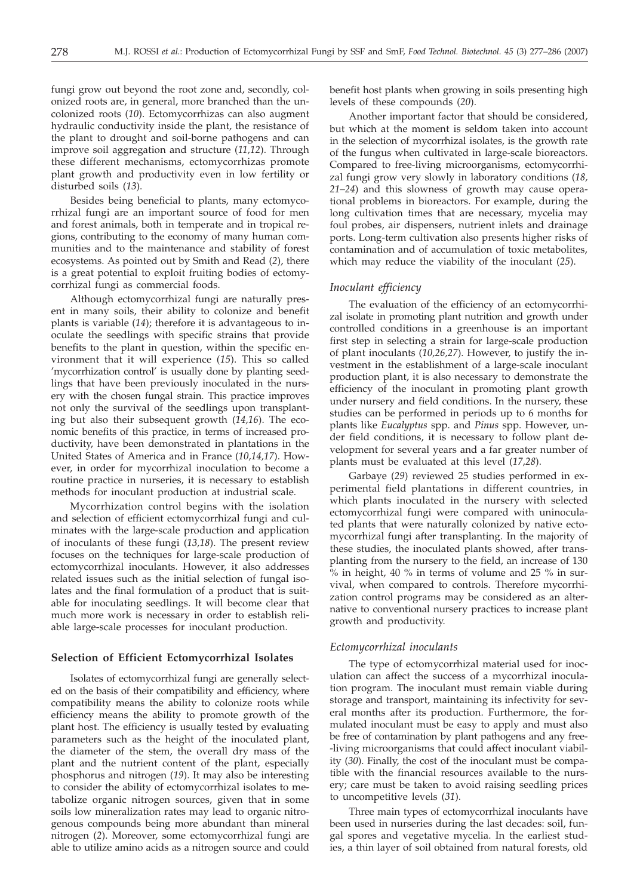fungi grow out beyond the root zone and, secondly, colonized roots are, in general, more branched than the uncolonized roots (*10*). Ectomycorrhizas can also augment hydraulic conductivity inside the plant, the resistance of the plant to drought and soil-borne pathogens and can improve soil aggregation and structure (*11,12*). Through these different mechanisms, ectomycorrhizas promote plant growth and productivity even in low fertility or disturbed soils (*13*).

Besides being beneficial to plants, many ectomycorrhizal fungi are an important source of food for men and forest animals, both in temperate and in tropical regions, contributing to the economy of many human communities and to the maintenance and stability of forest ecosystems. As pointed out by Smith and Read (*2*), there is a great potential to exploit fruiting bodies of ectomycorrhizal fungi as commercial foods.

Although ectomycorrhizal fungi are naturally present in many soils, their ability to colonize and benefit plants is variable (*14*); therefore it is advantageous to inoculate the seedlings with specific strains that provide benefits to the plant in question, within the specific environment that it will experience (*15*). This so called 'mycorrhization control' is usually done by planting seedlings that have been previously inoculated in the nursery with the chosen fungal strain. This practice improves not only the survival of the seedlings upon transplanting but also their subsequent growth (*14,16*). The economic benefits of this practice, in terms of increased productivity, have been demonstrated in plantations in the United States of America and in France (*10,14,17*). However, in order for mycorrhizal inoculation to become a routine practice in nurseries, it is necessary to establish methods for inoculant production at industrial scale.

Mycorrhization control begins with the isolation and selection of efficient ectomycorrhizal fungi and culminates with the large-scale production and application of inoculants of these fungi (*13,18*). The present review focuses on the techniques for large-scale production of ectomycorrhizal inoculants. However, it also addresses related issues such as the initial selection of fungal isolates and the final formulation of a product that is suitable for inoculating seedlings. It will become clear that much more work is necessary in order to establish reliable large-scale processes for inoculant production.

#### **Selection of Efficient Ectomycorrhizal Isolates**

Isolates of ectomycorrhizal fungi are generally selected on the basis of their compatibility and efficiency, where compatibility means the ability to colonize roots while efficiency means the ability to promote growth of the plant host. The efficiency is usually tested by evaluating parameters such as the height of the inoculated plant, the diameter of the stem, the overall dry mass of the plant and the nutrient content of the plant, especially phosphorus and nitrogen (*19*). It may also be interesting to consider the ability of ectomycorrhizal isolates to metabolize organic nitrogen sources, given that in some soils low mineralization rates may lead to organic nitrogenous compounds being more abundant than mineral nitrogen (*2*). Moreover, some ectomycorrhizal fungi are able to utilize amino acids as a nitrogen source and could

benefit host plants when growing in soils presenting high levels of these compounds (*20*).

Another important factor that should be considered, but which at the moment is seldom taken into account in the selection of mycorrhizal isolates, is the growth rate of the fungus when cultivated in large-scale bioreactors. Compared to free-living microorganisms, ectomycorrhizal fungi grow very slowly in laboratory conditions (*18, 21–24*) and this slowness of growth may cause operational problems in bioreactors. For example, during the long cultivation times that are necessary, mycelia may foul probes, air dispensers, nutrient inlets and drainage ports. Long-term cultivation also presents higher risks of contamination and of accumulation of toxic metabolites, which may reduce the viability of the inoculant (*25*).

## *Inoculant efficiency*

The evaluation of the efficiency of an ectomycorrhizal isolate in promoting plant nutrition and growth under controlled conditions in a greenhouse is an important first step in selecting a strain for large-scale production of plant inoculants (*10,26,27*). However, to justify the investment in the establishment of a large-scale inoculant production plant, it is also necessary to demonstrate the efficiency of the inoculant in promoting plant growth under nursery and field conditions. In the nursery, these studies can be performed in periods up to 6 months for plants like *Eucalyptus* spp. and *Pinus* spp. However, under field conditions, it is necessary to follow plant development for several years and a far greater number of plants must be evaluated at this level (*17,28*).

Garbaye (*29*) reviewed 25 studies performed in experimental field plantations in different countries, in which plants inoculated in the nursery with selected ectomycorrhizal fungi were compared with uninoculated plants that were naturally colonized by native ectomycorrhizal fungi after transplanting. In the majority of these studies, the inoculated plants showed, after transplanting from the nursery to the field, an increase of 130 % in height, 40 % in terms of volume and 25 % in survival, when compared to controls. Therefore mycorrhization control programs may be considered as an alternative to conventional nursery practices to increase plant growth and productivity.

#### *Ectomycorrhizal inoculants*

The type of ectomycorrhizal material used for inoculation can affect the success of a mycorrhizal inoculation program. The inoculant must remain viable during storage and transport, maintaining its infectivity for several months after its production. Furthermore, the formulated inoculant must be easy to apply and must also be free of contamination by plant pathogens and any free- -living microorganisms that could affect inoculant viability (*30*). Finally, the cost of the inoculant must be compatible with the financial resources available to the nursery; care must be taken to avoid raising seedling prices to uncompetitive levels (*31*).

Three main types of ectomycorrhizal inoculants have been used in nurseries during the last decades: soil, fungal spores and vegetative mycelia. In the earliest studies, a thin layer of soil obtained from natural forests, old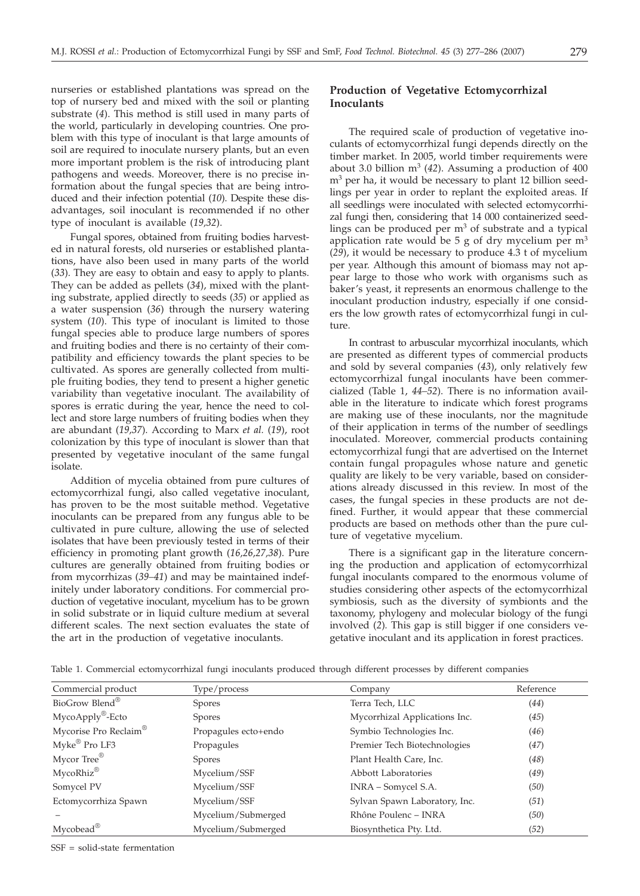nurseries or established plantations was spread on the top of nursery bed and mixed with the soil or planting substrate (*4*). This method is still used in many parts of the world, particularly in developing countries. One problem with this type of inoculant is that large amounts of soil are required to inoculate nursery plants, but an even more important problem is the risk of introducing plant pathogens and weeds. Moreover, there is no precise information about the fungal species that are being introduced and their infection potential (*10*). Despite these disadvantages, soil inoculant is recommended if no other type of inoculant is available (*19,32*).

Fungal spores, obtained from fruiting bodies harvested in natural forests, old nurseries or established plantations, have also been used in many parts of the world (*33*). They are easy to obtain and easy to apply to plants. They can be added as pellets (*34*), mixed with the planting substrate, applied directly to seeds (*35*) or applied as a water suspension (*36*) through the nursery watering system (*10*). This type of inoculant is limited to those fungal species able to produce large numbers of spores and fruiting bodies and there is no certainty of their compatibility and efficiency towards the plant species to be cultivated. As spores are generally collected from multiple fruiting bodies, they tend to present a higher genetic variability than vegetative inoculant. The availability of spores is erratic during the year, hence the need to collect and store large numbers of fruiting bodies when they are abundant (*19,37*). According to Marx *et al.* (*19*), root colonization by this type of inoculant is slower than that presented by vegetative inoculant of the same fungal isolate.

Addition of mycelia obtained from pure cultures of ectomycorrhizal fungi, also called vegetative inoculant, has proven to be the most suitable method. Vegetative inoculants can be prepared from any fungus able to be cultivated in pure culture, allowing the use of selected isolates that have been previously tested in terms of their efficiency in promoting plant growth (*16,26,27,38*). Pure cultures are generally obtained from fruiting bodies or from mycorrhizas (*39–41*) and may be maintained indefinitely under laboratory conditions. For commercial production of vegetative inoculant, mycelium has to be grown in solid substrate or in liquid culture medium at several different scales. The next section evaluates the state of the art in the production of vegetative inoculants.

## **Production of Vegetative Ectomycorrhizal Inoculants**

The required scale of production of vegetative inoculants of ectomycorrhizal fungi depends directly on the timber market. In 2005, world timber requirements were about 3.0 billion  $m^3$  (42). Assuming a production of 400 m<sup>3</sup> per ha, it would be necessary to plant 12 billion seedlings per year in order to replant the exploited areas. If all seedlings were inoculated with selected ectomycorrhizal fungi then, considering that 14 000 containerized seedlings can be produced per  $m<sup>3</sup>$  of substrate and a typical application rate would be 5 g of dry mycelium per  $m<sup>3</sup>$ (*29*), it would be necessary to produce 4.3 t of mycelium per year. Although this amount of biomass may not appear large to those who work with organisms such as baker's yeast, it represents an enormous challenge to the inoculant production industry, especially if one considers the low growth rates of ectomycorrhizal fungi in culture.

In contrast to arbuscular mycorrhizal inoculants, which are presented as different types of commercial products and sold by several companies (*43*), only relatively few ectomycorrhizal fungal inoculants have been commercialized (Table 1, *44–52*). There is no information available in the literature to indicate which forest programs are making use of these inoculants, nor the magnitude of their application in terms of the number of seedlings inoculated. Moreover, commercial products containing ectomycorrhizal fungi that are advertised on the Internet contain fungal propagules whose nature and genetic quality are likely to be very variable, based on considerations already discussed in this review. In most of the cases, the fungal species in these products are not defined. Further, it would appear that these commercial products are based on methods other than the pure culture of vegetative mycelium.

There is a significant gap in the literature concerning the production and application of ectomycorrhizal fungal inoculants compared to the enormous volume of studies considering other aspects of the ectomycorrhizal symbiosis, such as the diversity of symbionts and the taxonomy, phylogeny and molecular biology of the fungi involved (*2*)*.* This gap is still bigger if one considers vegetative inoculant and its application in forest practices.

| Commercial product           | Type/process         | Company                       | Reference |
|------------------------------|----------------------|-------------------------------|-----------|
| BioGrow Blend®               | <b>Spores</b>        | Terra Tech, LLC               | (44)      |
| MycoApply <sup>®</sup> -Ecto | <b>Spores</b>        | Mycorrhizal Applications Inc. | (45)      |
| Mycorise Pro Reclaim®        | Propagules ecto+endo | Symbio Technologies Inc.      | (46)      |
| Myke <sup>®</sup> Pro LF3    | Propagules           | Premier Tech Biotechnologies  | (47)      |
| Mycor Tree <sup>®</sup>      | <b>Spores</b>        | Plant Health Care, Inc.       | (48)      |
| MycoRhiz®                    | Mycelium/SSF         | <b>Abbott Laboratories</b>    | (49)      |
| Somycel PV                   | Mycelium/SSF         | INRA - Somycel S.A.           | (50)      |
| Ectomycorrhiza Spawn         | Mycelium/SSF         | Sylvan Spawn Laboratory, Inc. | (51)      |
|                              | Mycelium/Submerged   | Rhône Poulenc - INRA          | (50)      |
| Mycobead <sup>®</sup>        | Mycelium/Submerged   | Biosynthetica Pty. Ltd.       | (52)      |

Table 1. Commercial ectomycorrhizal fungi inoculants produced through different processes by different companies

SSF = solid-state fermentation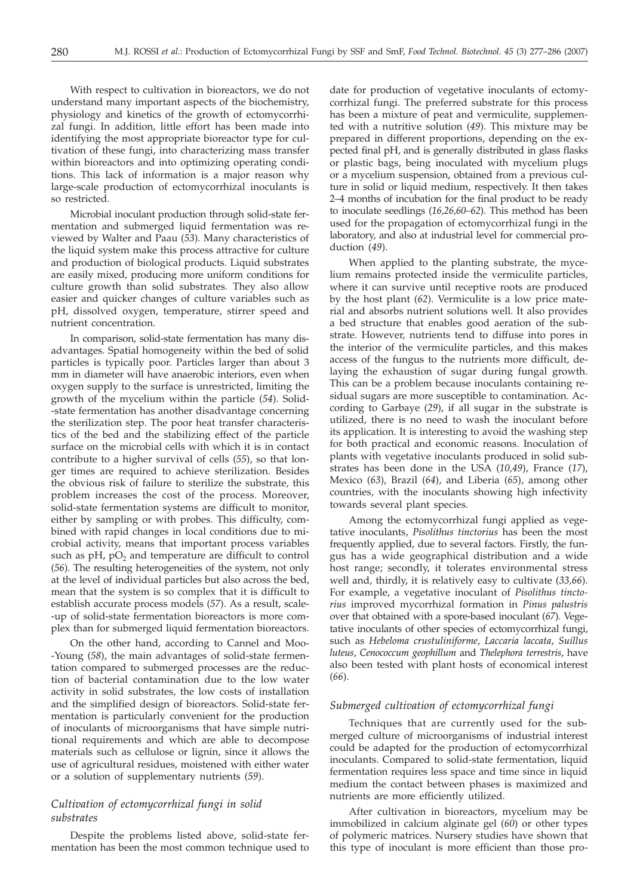With respect to cultivation in bioreactors, we do not understand many important aspects of the biochemistry, physiology and kinetics of the growth of ectomycorrhizal fungi. In addition, little effort has been made into identifying the most appropriate bioreactor type for cultivation of these fungi, into characterizing mass transfer within bioreactors and into optimizing operating conditions. This lack of information is a major reason why large-scale production of ectomycorrhizal inoculants is so restricted.

Microbial inoculant production through solid-state fermentation and submerged liquid fermentation was reviewed by Walter and Paau (*53*). Many characteristics of the liquid system make this process attractive for culture and production of biological products. Liquid substrates are easily mixed, producing more uniform conditions for culture growth than solid substrates. They also allow easier and quicker changes of culture variables such as pH, dissolved oxygen, temperature, stirrer speed and nutrient concentration.

In comparison, solid-state fermentation has many disadvantages. Spatial homogeneity within the bed of solid particles is typically poor. Particles larger than about 3 mm in diameter will have anaerobic interiors, even when oxygen supply to the surface is unrestricted, limiting the growth of the mycelium within the particle (*54*). Solid- -state fermentation has another disadvantage concerning the sterilization step. The poor heat transfer characteristics of the bed and the stabilizing effect of the particle surface on the microbial cells with which it is in contact contribute to a higher survival of cells (*55*), so that longer times are required to achieve sterilization. Besides the obvious risk of failure to sterilize the substrate, this problem increases the cost of the process. Moreover, solid-state fermentation systems are difficult to monitor, either by sampling or with probes. This difficulty, combined with rapid changes in local conditions due to microbial activity, means that important process variables such as  $pH$ ,  $pO<sub>2</sub>$  and temperature are difficult to control (*56*). The resulting heterogeneities of the system, not only at the level of individual particles but also across the bed, mean that the system is so complex that it is difficult to establish accurate process models (*57*). As a result, scale- -up of solid-state fermentation bioreactors is more complex than for submerged liquid fermentation bioreactors.

On the other hand, according to Cannel and Moo- -Young (*58*), the main advantages of solid-state fermentation compared to submerged processes are the reduction of bacterial contamination due to the low water activity in solid substrates, the low costs of installation and the simplified design of bioreactors. Solid-state fermentation is particularly convenient for the production of inoculants of microorganisms that have simple nutritional requirements and which are able to decompose materials such as cellulose or lignin, since it allows the use of agricultural residues, moistened with either water or a solution of supplementary nutrients (*59*).

## *Cultivation of ectomycorrhizal fungi in solid substrates*

Despite the problems listed above, solid-state fermentation has been the most common technique used to

date for production of vegetative inoculants of ectomycorrhizal fungi. The preferred substrate for this process has been a mixture of peat and vermiculite, supplemented with a nutritive solution (*49*). This mixture may be prepared in different proportions, depending on the expected final pH, and is generally distributed in glass flasks or plastic bags, being inoculated with mycelium plugs or a mycelium suspension, obtained from a previous culture in solid or liquid medium, respectively. It then takes 2–4 months of incubation for the final product to be ready to inoculate seedlings (*16,26,60–62*). This method has been used for the propagation of ectomycorrhizal fungi in the laboratory, and also at industrial level for commercial production (*49*).

When applied to the planting substrate, the mycelium remains protected inside the vermiculite particles, where it can survive until receptive roots are produced by the host plant (*62*). Vermiculite is a low price material and absorbs nutrient solutions well. It also provides a bed structure that enables good aeration of the substrate. However, nutrients tend to diffuse into pores in the interior of the vermiculite particles, and this makes access of the fungus to the nutrients more difficult, delaying the exhaustion of sugar during fungal growth. This can be a problem because inoculants containing residual sugars are more susceptible to contamination. According to Garbaye (*29*), if all sugar in the substrate is utilized, there is no need to wash the inoculant before its application. It is interesting to avoid the washing step for both practical and economic reasons. Inoculation of plants with vegetative inoculants produced in solid substrates has been done in the USA (*10,49*), France (*17*), Mexico (*63*), Brazil (*64*), and Liberia (*65*), among other countries, with the inoculants showing high infectivity towards several plant species.

Among the ectomycorrhizal fungi applied as vegetative inoculants, *Pisolithus tinctorius* has been the most frequently applied, due to several factors. Firstly, the fungus has a wide geographical distribution and a wide host range; secondly, it tolerates environmental stress well and, thirdly, it is relatively easy to cultivate (*33,66*). For example, a vegetative inoculant of *Pisolithus tinctorius* improved mycorrhizal formation in *Pinus palustris* over that obtained with a spore-based inoculant (*67*). Vegetative inoculants of other species of ectomycorrhizal fungi, such as *Hebeloma crustuliniforme*, *Laccaria laccata*, *Suillus luteus*, *Cenococcum geophillum* and *Thelephora terrestris*, have also been tested with plant hosts of economical interest (*66*).

## *Submerged cultivation of ectomycorrhizal fungi*

Techniques that are currently used for the submerged culture of microorganisms of industrial interest could be adapted for the production of ectomycorrhizal inoculants. Compared to solid-state fermentation, liquid fermentation requires less space and time since in liquid medium the contact between phases is maximized and nutrients are more efficiently utilized.

After cultivation in bioreactors, mycelium may be immobilized in calcium alginate gel (*60*) or other types of polymeric matrices. Nursery studies have shown that this type of inoculant is more efficient than those pro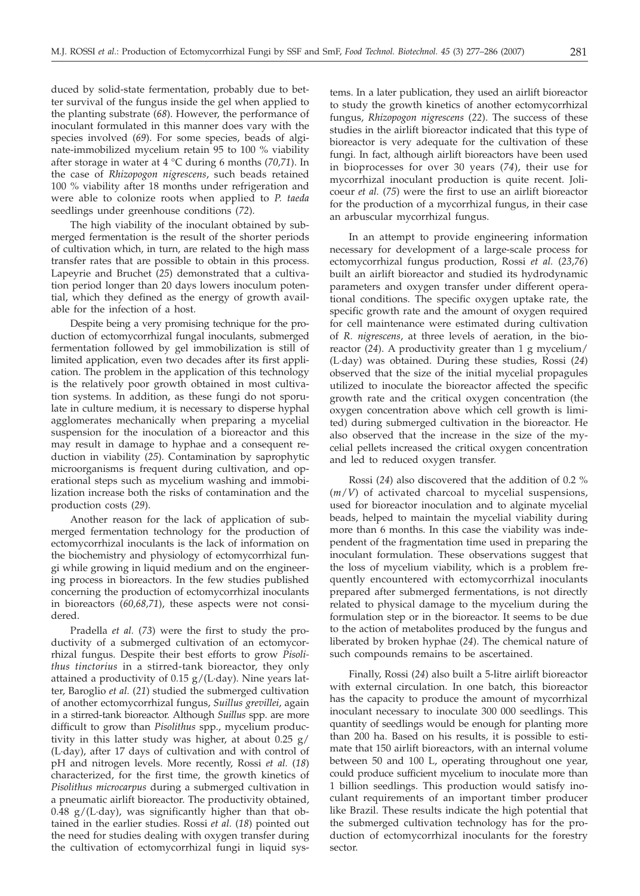duced by solid-state fermentation, probably due to better survival of the fungus inside the gel when applied to the planting substrate (*68*). However, the performance of inoculant formulated in this manner does vary with the species involved (*69*). For some species, beads of alginate-immobilized mycelium retain 95 to 100 % viability after storage in water at 4 °C during 6 months (*70,71*). In the case of *Rhizopogon nigrescens*, such beads retained 100 % viability after 18 months under refrigeration and were able to colonize roots when applied to *P. taeda* seedlings under greenhouse conditions (*72*).

The high viability of the inoculant obtained by submerged fermentation is the result of the shorter periods of cultivation which, in turn, are related to the high mass transfer rates that are possible to obtain in this process. Lapeyrie and Bruchet (*25*) demonstrated that a cultivation period longer than 20 days lowers inoculum potential, which they defined as the energy of growth available for the infection of a host.

Despite being a very promising technique for the production of ectomycorrhizal fungal inoculants, submerged fermentation followed by gel immobilization is still of limited application, even two decades after its first application. The problem in the application of this technology is the relatively poor growth obtained in most cultivation systems. In addition, as these fungi do not sporulate in culture medium, it is necessary to disperse hyphal agglomerates mechanically when preparing a mycelial suspension for the inoculation of a bioreactor and this may result in damage to hyphae and a consequent reduction in viability (*25*). Contamination by saprophytic microorganisms is frequent during cultivation, and operational steps such as mycelium washing and immobilization increase both the risks of contamination and the production costs (*29*).

Another reason for the lack of application of submerged fermentation technology for the production of ectomycorrhizal inoculants is the lack of information on the biochemistry and physiology of ectomycorrhizal fungi while growing in liquid medium and on the engineering process in bioreactors. In the few studies published concerning the production of ectomycorrhizal inoculants in bioreactors (*60,68,71*), these aspects were not considered.

Pradella *et al.* (*73*) were the first to study the productivity of a submerged cultivation of an ectomycorrhizal fungus. Despite their best efforts to grow *Pisolithus tinctorius* in a stirred-tank bioreactor, they only attained a productivity of 0.15 g/(L·day). Nine years latter, Baroglio *et al.* (*21*) studied the submerged cultivation of another ectomycorrhizal fungus, *Suillus grevillei*, again in a stirred-tank bioreactor. Although *Suillus* spp. are more difficult to grow than *Pisolithus* spp., mycelium productivity in this latter study was higher, at about 0.25 g/ (L·day), after 17 days of cultivation and with control of pH and nitrogen levels. More recently, Rossi *et al.* (*18*) characterized, for the first time, the growth kinetics of *Pisolithus microcarpus* during a submerged cultivation in a pneumatic airlift bioreactor. The productivity obtained, 0.48 g/(L·day), was significantly higher than that obtained in the earlier studies. Rossi *et al.* (*18*) pointed out the need for studies dealing with oxygen transfer during the cultivation of ectomycorrhizal fungi in liquid systems. In a later publication, they used an airlift bioreactor to study the growth kinetics of another ectomycorrhizal fungus, *Rhizopogon nigrescens* (*22*). The success of these studies in the airlift bioreactor indicated that this type of bioreactor is very adequate for the cultivation of these fungi. In fact, although airlift bioreactors have been used in bioprocesses for over 30 years (*74*), their use for mycorrhizal inoculant production is quite recent. Jolicoeur *et al.* (*75*) were the first to use an airlift bioreactor for the production of a mycorrhizal fungus, in their case an arbuscular mycorrhizal fungus.

In an attempt to provide engineering information necessary for development of a large-scale process for ectomycorrhizal fungus production, Rossi *et al.* (*23*,*76*) built an airlift bioreactor and studied its hydrodynamic parameters and oxygen transfer under different operational conditions. The specific oxygen uptake rate, the specific growth rate and the amount of oxygen required for cell maintenance were estimated during cultivation of *R. nigrescens*, at three levels of aeration, in the bioreactor (*24*). A productivity greater than 1 g mycelium/ (L·day) was obtained. During these studies, Rossi (*24*) observed that the size of the initial mycelial propagules utilized to inoculate the bioreactor affected the specific growth rate and the critical oxygen concentration (the oxygen concentration above which cell growth is limited) during submerged cultivation in the bioreactor. He also observed that the increase in the size of the mycelial pellets increased the critical oxygen concentration and led to reduced oxygen transfer.

Rossi (*24*) also discovered that the addition of 0.2 % (*m*/*V*) of activated charcoal to mycelial suspensions, used for bioreactor inoculation and to alginate mycelial beads, helped to maintain the mycelial viability during more than 6 months. In this case the viability was independent of the fragmentation time used in preparing the inoculant formulation. These observations suggest that the loss of mycelium viability, which is a problem frequently encountered with ectomycorrhizal inoculants prepared after submerged fermentations, is not directly related to physical damage to the mycelium during the formulation step or in the bioreactor. It seems to be due to the action of metabolites produced by the fungus and liberated by broken hyphae (*24*). The chemical nature of such compounds remains to be ascertained.

Finally, Rossi (*24*) also built a 5-litre airlift bioreactor with external circulation. In one batch, this bioreactor has the capacity to produce the amount of mycorrhizal inoculant necessary to inoculate 300 000 seedlings. This quantity of seedlings would be enough for planting more than 200 ha. Based on his results, it is possible to estimate that 150 airlift bioreactors, with an internal volume between 50 and 100 L, operating throughout one year, could produce sufficient mycelium to inoculate more than 1 billion seedlings. This production would satisfy inoculant requirements of an important timber producer like Brazil. These results indicate the high potential that the submerged cultivation technology has for the production of ectomycorrhizal inoculants for the forestry sector.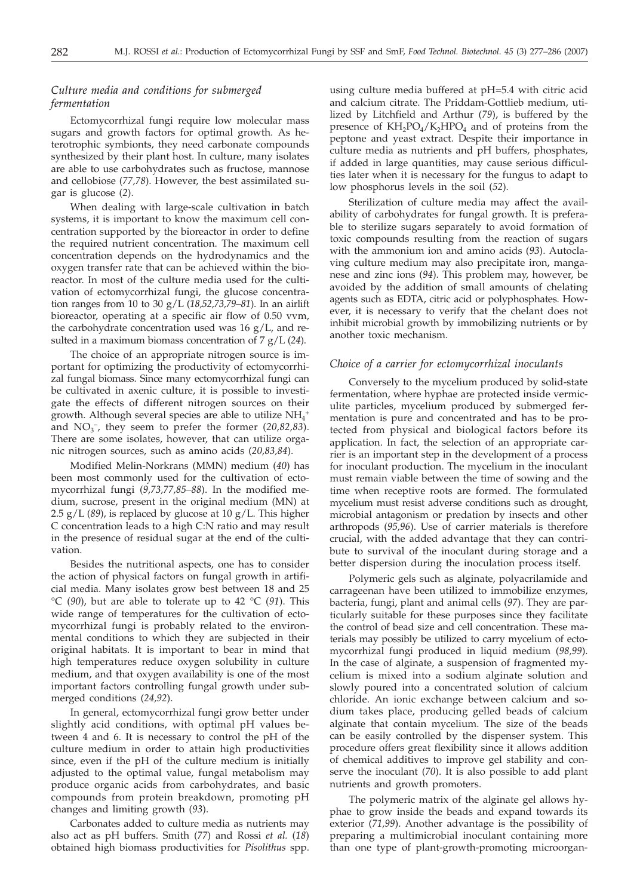## *Culture media and conditions for submerged fermentation*

Ectomycorrhizal fungi require low molecular mass sugars and growth factors for optimal growth. As heterotrophic symbionts, they need carbonate compounds synthesized by their plant host. In culture, many isolates are able to use carbohydrates such as fructose, mannose and cellobiose (*77,78*). However, the best assimilated sugar is glucose (*2*).

When dealing with large-scale cultivation in batch systems, it is important to know the maximum cell concentration supported by the bioreactor in order to define the required nutrient concentration. The maximum cell concentration depends on the hydrodynamics and the oxygen transfer rate that can be achieved within the bioreactor. In most of the culture media used for the cultivation of ectomycorrhizal fungi, the glucose concentration ranges from 10 to 30 g/L (*18,52,73,79–81*). In an airlift bioreactor, operating at a specific air flow of 0.50 vvm, the carbohydrate concentration used was  $16 \text{ g/L}$ , and resulted in a maximum biomass concentration of 7 g/L (*24*).

The choice of an appropriate nitrogen source is important for optimizing the productivity of ectomycorrhizal fungal biomass. Since many ectomycorrhizal fungi can be cultivated in axenic culture, it is possible to investigate the effects of different nitrogen sources on their growth. Although several species are able to utilize  $NH_4$ <sup>+</sup> and  $NO<sub>3</sub><sup>-</sup>$ , they seem to prefer the former (20,82,83). There are some isolates, however, that can utilize organic nitrogen sources, such as amino acids (*20,83,84*).

Modified Melin-Norkrans (MMN) medium (*40*) has been most commonly used for the cultivation of ectomycorrhizal fungi (*9,73,77,85–88*). In the modified medium, sucrose, present in the original medium (MN) at 2.5 g/L (*89*), is replaced by glucose at 10 g/L. This higher C concentration leads to a high C:N ratio and may result in the presence of residual sugar at the end of the cultivation.

Besides the nutritional aspects, one has to consider the action of physical factors on fungal growth in artificial media. Many isolates grow best between 18 and 25 °C (*90*), but are able to tolerate up to 42 °C (*91*). This wide range of temperatures for the cultivation of ectomycorrhizal fungi is probably related to the environmental conditions to which they are subjected in their original habitats. It is important to bear in mind that high temperatures reduce oxygen solubility in culture medium, and that oxygen availability is one of the most important factors controlling fungal growth under submerged conditions (*24,92*).

In general, ectomycorrhizal fungi grow better under slightly acid conditions, with optimal pH values between 4 and 6. It is necessary to control the pH of the culture medium in order to attain high productivities since, even if the pH of the culture medium is initially adjusted to the optimal value, fungal metabolism may produce organic acids from carbohydrates, and basic compounds from protein breakdown, promoting pH changes and limiting growth (*93*).

Carbonates added to culture media as nutrients may also act as pH buffers. Smith (*77*) and Rossi *et al.* (*18*) obtained high biomass productivities for *Pisolithus* spp.

using culture media buffered at pH=5.4 with citric acid and calcium citrate. The Priddam-Gottlieb medium, utilized by Litchfield and Arthur (*79*), is buffered by the presence of  $KH_2PO_4/K_2HPO_4$  and of proteins from the peptone and yeast extract. Despite their importance in culture media as nutrients and pH buffers, phosphates, if added in large quantities, may cause serious difficulties later when it is necessary for the fungus to adapt to low phosphorus levels in the soil (*52*).

Sterilization of culture media may affect the availability of carbohydrates for fungal growth. It is preferable to sterilize sugars separately to avoid formation of toxic compounds resulting from the reaction of sugars with the ammonium ion and amino acids (*93*). Autoclaving culture medium may also precipitate iron, manganese and zinc ions (*94*). This problem may, however, be avoided by the addition of small amounts of chelating agents such as EDTA, citric acid or polyphosphates. However, it is necessary to verify that the chelant does not inhibit microbial growth by immobilizing nutrients or by another toxic mechanism.

## *Choice of a carrier for ectomycorrhizal inoculants*

Conversely to the mycelium produced by solid-state fermentation, where hyphae are protected inside vermiculite particles, mycelium produced by submerged fermentation is pure and concentrated and has to be protected from physical and biological factors before its application. In fact, the selection of an appropriate carrier is an important step in the development of a process for inoculant production. The mycelium in the inoculant must remain viable between the time of sowing and the time when receptive roots are formed. The formulated mycelium must resist adverse conditions such as drought, microbial antagonism or predation by insects and other arthropods (*95,96*). Use of carrier materials is therefore crucial, with the added advantage that they can contribute to survival of the inoculant during storage and a better dispersion during the inoculation process itself.

Polymeric gels such as alginate, polyacrilamide and carrageenan have been utilized to immobilize enzymes, bacteria, fungi, plant and animal cells (*97*). They are particularly suitable for these purposes since they facilitate the control of bead size and cell concentration. These materials may possibly be utilized to carry mycelium of ectomycorrhizal fungi produced in liquid medium (*98,99*). In the case of alginate, a suspension of fragmented mycelium is mixed into a sodium alginate solution and slowly poured into a concentrated solution of calcium chloride. An ionic exchange between calcium and sodium takes place, producing gelled beads of calcium alginate that contain mycelium. The size of the beads can be easily controlled by the dispenser system. This procedure offers great flexibility since it allows addition of chemical additives to improve gel stability and conserve the inoculant (*70*). It is also possible to add plant nutrients and growth promoters.

The polymeric matrix of the alginate gel allows hyphae to grow inside the beads and expand towards its exterior (*71,99*). Another advantage is the possibility of preparing a multimicrobial inoculant containing more than one type of plant-growth-promoting microorgan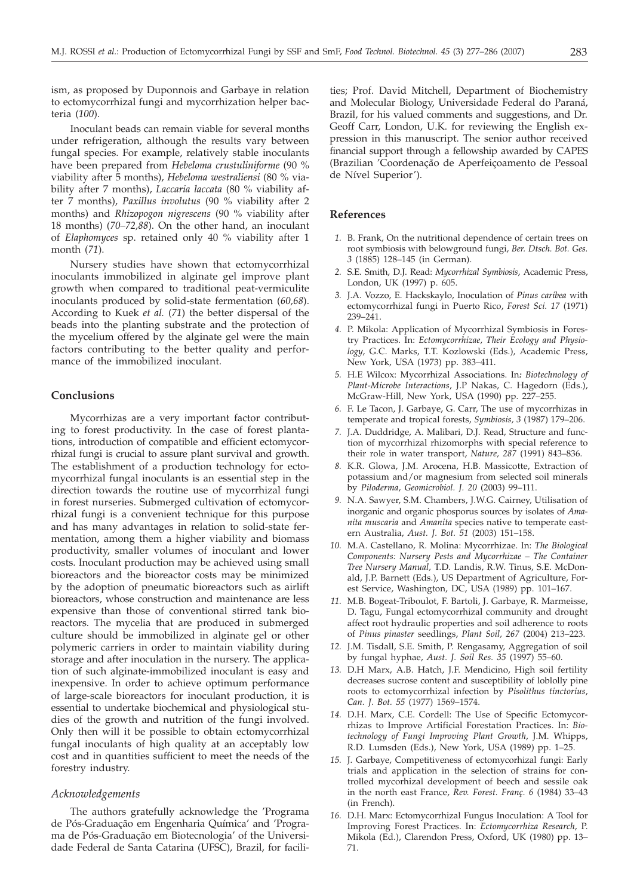ism, as proposed by Duponnois and Garbaye in relation to ectomycorrhizal fungi and mycorrhization helper bacteria (*100*).

Inoculant beads can remain viable for several months under refrigeration, although the results vary between fungal species. For example, relatively stable inoculants have been prepared from *Hebeloma crustuliniforme* (90 % viability after 5 months), *Hebeloma westraliensi* (80 % viability after 7 months), *Laccaria laccata* (80 % viability after 7 months), *Paxillus involutus* (90 % viability after 2 months) and *Rhizopogon nigrescens* (90 % viability after 18 months) (*70–72,88*). On the other hand, an inoculant of *Elaphomyces* sp. retained only 40 % viability after 1 month (*71*).

Nursery studies have shown that ectomycorrhizal inoculants immobilized in alginate gel improve plant growth when compared to traditional peat-vermiculite inoculants produced by solid-state fermentation (*60,68*). According to Kuek *et al.* (*71*) the better dispersal of the beads into the planting substrate and the protection of the mycelium offered by the alginate gel were the main factors contributing to the better quality and performance of the immobilized inoculant.

### **Conclusions**

Mycorrhizas are a very important factor contributing to forest productivity. In the case of forest plantations, introduction of compatible and efficient ectomycorrhizal fungi is crucial to assure plant survival and growth. The establishment of a production technology for ectomycorrhizal fungal inoculants is an essential step in the direction towards the routine use of mycorrhizal fungi in forest nurseries. Submerged cultivation of ectomycorrhizal fungi is a convenient technique for this purpose and has many advantages in relation to solid-state fermentation, among them a higher viability and biomass productivity, smaller volumes of inoculant and lower costs. Inoculant production may be achieved using small bioreactors and the bioreactor costs may be minimized by the adoption of pneumatic bioreactors such as airlift bioreactors, whose construction and maintenance are less expensive than those of conventional stirred tank bioreactors. The mycelia that are produced in submerged culture should be immobilized in alginate gel or other polymeric carriers in order to maintain viability during storage and after inoculation in the nursery. The application of such alginate-immobilized inoculant is easy and inexpensive. In order to achieve optimum performance of large-scale bioreactors for inoculant production, it is essential to undertake biochemical and physiological studies of the growth and nutrition of the fungi involved. Only then will it be possible to obtain ectomycorrhizal fungal inoculants of high quality at an acceptably low cost and in quantities sufficient to meet the needs of the forestry industry.

## *Acknowledgements*

The authors gratefully acknowledge the 'Programa de Pós-Graduação em Engenharia Química' and 'Programa de Pós-Graduação em Biotecnologia' of the Universidade Federal de Santa Catarina (UFSC), Brazil, for facilities; Prof. David Mitchell, Department of Biochemistry and Molecular Biology, Universidade Federal do Paraná, Brazil, for his valued comments and suggestions, and Dr. Geoff Carr, London, U.K. for reviewing the English expression in this manuscript. The senior author received financial support through a fellowship awarded by CAPES (Brazilian 'Coordenação de Aperfeiçoamento de Pessoal de Nível Superior').

## **References**

- *1.* B. Frank, On the nutritional dependence of certain trees on root symbiosis with belowground fungi, *Ber. Dtsch. Bot. Ges. 3* (1885) 128–145 (in German).
- *2.* S.E. Smith, D.J. Read: *Mycorrhizal Symbiosis*, Academic Press, London, UK (1997) p. 605.
- *3.* J.A. Vozzo, E. Hackskaylo, Inoculation of *Pinus caribea* with ectomycorrhizal fungi in Puerto Rico, *Forest Sci. 17* (1971) 239–241.
- *4.* P. Mikola: Application of Mycorrhizal Symbiosis in Forestry Practices. In: *Ectomycorrhizae, Their Ecology and Physiology*, G.C. Marks, T.T. Kozlowski (Eds.), Academic Press, New York, USA (1973) pp. 383–411.
- *5.* H.E Wilcox: Mycorrhizal Associations. In*: Biotechnology of Plant-Microbe Interactions*, J.P Nakas, C. Hagedorn (Eds.), McGraw-Hill, New York, USA (1990) pp. 227–255.
- *6.* F. Le Tacon, J. Garbaye, G. Carr, The use of mycorrhizas in temperate and tropical forests, *Symbiosis, 3* (1987) 179–206.
- *7.* J.A. Duddridge, A. Malibari, D.J. Read, Structure and function of mycorrhizal rhizomorphs with special reference to their role in water transport, *Nature, 287* (1991) 843–836.
- *8.* K.R. Glowa, J.M. Arocena, H.B. Massicotte, Extraction of potassium and/or magnesium from selected soil minerals by *Piloderma*, *Geomicrobiol. J. 20* (2003) 99–111.
- *9.* N.A. Sawyer, S.M. Chambers, J.W.G. Cairney, Utilisation of inorganic and organic phosporus sources by isolates of *Amanita muscaria* and *Amanita* species native to temperate eastern Australia, *Aust. J. Bot. 51* (2003) 151–158.
- *10.* M.A. Castellano, R. Molina: Mycorrhizae. In: *The Biological Components: Nursery Pests and Mycorrhizae – The Container Tree Nursery Manual,* T.D. Landis, R.W. Tinus, S.E. McDonald, J.P. Barnett (Eds.), US Department of Agriculture, Forest Service, Washington, DC, USA (1989) pp. 101–167.
- *11.* M.B. Bogeat-Triboulot, F. Bartoli, J. Garbaye, R. Marmeisse, D. Tagu, Fungal ectomycorrhizal community and drought affect root hydraulic properties and soil adherence to roots of *Pinus pinaster* seedlings, *Plant Soil, 267* (2004) 213–223.
- *12.* J.M. Tisdall, S.E. Smith, P. Rengasamy, Aggregation of soil by fungal hyphae, *Aust. J. Soil Res. 35* (1997) 55–60.
- *13.* D.H Marx, A.B. Hatch, J.F. Mendicino, High soil fertility decreases sucrose content and susceptibility of loblolly pine roots to ectomycorrhizal infection by *Pisolithus tinctorius*, *Can. J. Bot. 55* (1977) 1569–1574.
- *14.* D.H. Marx, C.E. Cordell: The Use of Specific Ectomycorrhizas to Improve Artificial Forestation Practices. In: *Biotechnology of Fungi Improving Plant Growth*, J.M. Whipps, R.D. Lumsden (Eds.), New York, USA (1989) pp. 1–25.
- *15.* J. Garbaye, Competitiveness of ectomycorhizal fungi: Early trials and application in the selection of strains for controlled mycorhizal development of beech and sessile oak in the north east France, *Rev. Forest. Franç. 6* (1984) 33–43 (in French).
- *16.* D.H. Marx: Ectomycorrhizal Fungus Inoculation: A Tool for Improving Forest Practices. In: *Ectomycorrhiza Research*, P. Mikola (Ed.), Clarendon Press, Oxford, UK (1980) pp. 13– 71.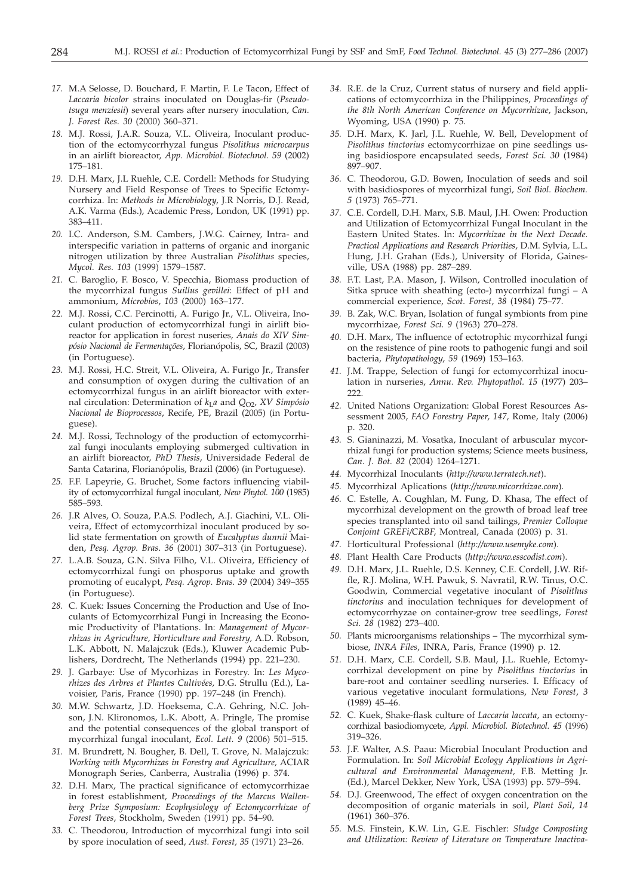- *17.* M.A Selosse, D. Bouchard, F. Martin, F. Le Tacon, Effect of *Laccaria bicolor* strains inoculated on Douglas-fir (*Pseudotsuga menziesii*) several years after nursery inoculation, *Can. J. Forest Res. 30* (2000) 360–371.
- *18.* M.J. Rossi, J.A.R. Souza, V.L. Oliveira, Inoculant production of the ectomycorrhyzal fungus *Pisolithus microcarpus* in an airlift bioreactor, *App. Microbiol. Biotechnol. 59* (2002) 175–181.
- *19.* D.H. Marx, J.L Ruehle, C.E. Cordell: Methods for Studying Nursery and Field Response of Trees to Specific Ectomycorrhiza. In: *Methods in Microbiology*, J.R Norris, D.J. Read, A.K. Varma (Eds.), Academic Press, London, UK (1991) pp. 383–411.
- *20.* I.C. Anderson, S.M. Cambers, J.W.G. Cairney, Intra- and interspecific variation in patterns of organic and inorganic nitrogen utilization by three Australian *Pisolithus* species, *Mycol. Res. 103* (1999) 1579–1587.
- *21.* C. Baroglio, F. Bosco, V. Specchia, Biomass production of the mycorrhizal fungus *Suillus gevillei*: Effect of pH and ammonium, *Microbios*, *103* (2000) 163–177.
- *22.* M.J. Rossi, C.C. Percinotti, A. Furigo Jr., V.L. Oliveira, Inoculant production of ectomycorrhizal fungi in airlift bioreactor for application in forest nuseries, *Anais do XIV Simpósio Nacional de Fermentações*, Florianópolis, SC, Brazil (2003) (in Portuguese).
- *23.* M.J. Rossi, H.C. Streit, V.L. Oliveira, A. Furigo Jr., Transfer and consumption of oxygen during the cultivation of an ectomycorrhizal fungus in an airlift bioreactor with external circulation: Determination of  $k<sub>L</sub>a$  and  $Q<sub>O2</sub>$ , *XV Simpósio Nacional de Bioprocessos*, Recife, PE, Brazil (2005) (in Portuguese).
- *24.* M.J. Rossi, Technology of the production of ectomycorrhizal fungi inoculants employing submerged cultivation in an airlift bioreactor, *PhD Thesis*, Universidade Federal de Santa Catarina, Florianópolis, Brazil (2006) (in Portuguese).
- *25.* F.F. Lapeyrie, G. Bruchet, Some factors influencing viability of ectomycorrhizal fungal inoculant, *New Phytol. 100* (1985) 585–593.
- *26.* J.R Alves, O. Souza, P.A.S. Podlech, A.J. Giachini, V.L. Oliveira, Effect of ectomycorrhizal inoculant produced by solid state fermentation on growth of *Eucalyptus dunnii* Maiden, *Pesq. Agrop. Bras*. *36* (2001) 307–313 (in Portuguese).
- *27.* L.A.B. Souza, G.N. Silva Filho, V.L. Oliveira, Efficiency of ectomycorrhizal fungi on phosporus uptake and growth promoting of eucalypt, *Pesq. Agrop. Bras. 39* (2004) 349–355 (in Portuguese).
- *28.* C. Kuek: Issues Concerning the Production and Use of Inoculants of Ectomycorrhizal Fungi in Increasing the Economic Productivity of Plantations. In: *Management of Mycorrhizas in Agriculture, Horticulture and Forestry,* A.D. Robson, L.K. Abbott, N. Malajczuk (Eds.), Kluwer Academic Publishers, Dordrecht, The Netherlands (1994) pp. 221–230.
- *29.* J. Garbaye: Use of Mycorhizas in Forestry. In: *Les Mycorhizes des Arbres et Plantes Cultivées,* D.G. Strullu (Ed.), Lavoisier, Paris, France (1990) pp. 197–248 (in French).
- *30.* M.W. Schwartz, J.D. Hoeksema, C.A. Gehring, N.C. Johson, J.N. Klironomos, L.K. Abott, A. Pringle, The promise and the potential consequences of the global transport of mycorrhizal fungal inoculant, *Ecol. Lett. 9* (2006) 501–515.
- *31.* M. Brundrett, N. Bougher, B. Dell, T. Grove, N. Malajczuk: *Working with Mycorrhizas in Forestry and Agriculture,* ACIAR Monograph Series, Canberra, Australia (1996) p. 374.
- *32.* D.H. Marx, The practical significance of ectomycorrhizae in forest establishment, *Proceedings of the Marcus Wallenberg Prize Symposium: Ecophysiology of Ectomycorrhizae of Forest Trees*, Stockholm, Sweden (1991) pp. 54–90.
- *33.* C. Theodorou, Introduction of mycorrhizal fungi into soil by spore inoculation of seed, *Aust. Forest, 35* (1971) 23–26.
- *34.* R.E. de la Cruz, Current status of nursery and field applications of ectomycorrhiza in the Philippines, *Proceedings of the 8th North American Conference on Mycorrhizae*, Jackson, Wyoming, USA (1990) p. 75.
- *35.* D.H. Marx, K. Jarl, J.L. Ruehle, W. Bell, Development of *Pisolithus tinctorius* ectomycorrhizae on pine seedlings using basidiospore encapsulated seeds, *Forest Sci. 30* (1984) 897–907.
- *36.* C. Theodorou, G.D. Bowen, Inoculation of seeds and soil with basidiospores of mycorrhizal fungi, *Soil Biol. Biochem. 5* (1973) 765–771.
- *37.* C.E. Cordell, D.H. Marx, S.B. Maul, J.H. Owen: Production and Utilization of Ectomycorrhizal Fungal Inoculant in the Eastern United States. In: *Mycorrhizae in the Next Decade. Practical Applications and Research Priorities*, D.M. Sylvia, L.L. Hung, J.H. Grahan (Eds.), University of Florida, Gainesville, USA (1988) pp. 287–289.
- *38.* F.T. Last, P.A. Mason, J. Wilson, Controlled inoculation of Sitka spruce with sheathing (ecto-) mycorrhizal fungi – A commercial experience, *Scot. Forest*, *38* (1984) 75–77.
- *39.* B. Zak, W.C. Bryan, Isolation of fungal symbionts from pine mycorrhizae, *Forest Sci. 9* (1963) 270–278.
- *40.* D.H. Marx, The influence of ectotrophic mycorrhizal fungi on the resistence of pine roots to pathogenic fungi and soil bacteria, *Phytopathology*, *59* (1969) 153–163.
- *41.* J.M. Trappe, Selection of fungi for ectomycorrhizal inoculation in nurseries, *Annu. Rev. Phytopathol. 15* (1977) 203– 222.
- *42.* United Nations Organization: Global Forest Resources Assessment 2005, *FAO Forestry Paper*, *147,* Rome, Italy (2006) p. 320.
- *43.* S. Gianinazzi, M. Vosatka, Inoculant of arbuscular mycorrhizal fungi for production systems; Science meets business, *Can. J. Bot. 82* (2004) 1264–1271.
- *44.* Mycorrhizal Inoculants (*http://www.terratech.net*).
- *45.* Mycorrhizal Aplications (*http://www.micorrhizae.com*).
- *46.* C. Estelle, A. Coughlan, M. Fung, D. Khasa, The effect of mycorrhizal development on the growth of broad leaf tree species transplanted into oil sand tailings, *Premier Colloque Conjoint GREFi/CRBF*, Montreal, Canada (2003) p. 31.
- *47.* Horticultural Professional (*http://www.usemyke.com*).
- *48.* Plant Health Care Products (*http://www.esscodist.com*).
- *49.* D.H. Marx, J.L. Ruehle, D.S. Kenney, C.E. Cordell, J.W. Riffle, R.J. Molina, W.H. Pawuk, S. Navratil, R.W. Tinus, O.C. Goodwin, Commercial vegetative inoculant of *Pisolithus tinctorius* and inoculation techniques for development of ectomycorrhyzae on container-grow tree seedlings, *Forest Sci. 28* (1982) 273–400.
- *50.* Plants microorganisms relationships The mycorrhizal symbiose, *INRA Files*, INRA, Paris, France (1990) p. 12.
- *51.* D.H. Marx, C.E. Cordell, S.B. Maul, J.L. Ruehle, Ectomycorrhizal development on pine by *Pisolithus tinctorius* in bare-root and container seedling nurseries. I. Efficacy of various vegetative inoculant formulations, *New Forest*, *3* (1989) 45–46.
- *52.* C. Kuek, Shake-flask culture of *Laccaria laccata*, an ectomycorrhizal basiodiomycete, *Appl. Microbiol. Biotechnol. 45* (1996) 319–326.
- *53.* J.F. Walter, A.S. Paau: Microbial Inoculant Production and Formulation. In: *Soil Microbial Ecology Applications in Agricultural and Environmental Management,* F.B. Metting Jr. (Ed.), Marcel Dekker, New York, USA (1993) pp. 579–594.
- *54.* D.J. Greenwood, The effect of oxygen concentration on the decomposition of organic materials in soil, *Plant Soil*, *14* (1961) 360–376.
- *55.* M.S. Finstein, K.W. Lin, G.E. Fischler: *Sludge Composting and Utilization: Review of Literature on Temperature Inactiva-*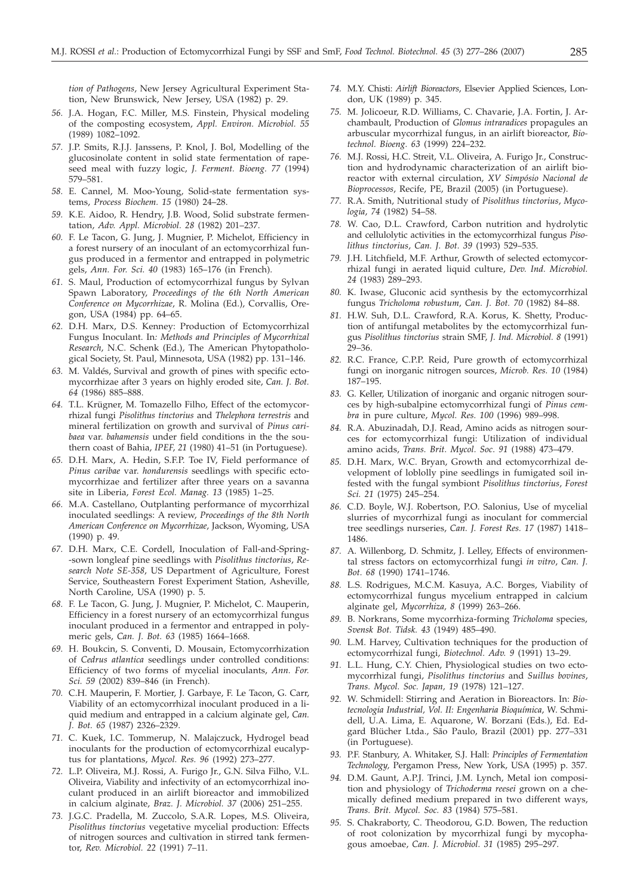*tion of Pathogens*, New Jersey Agricultural Experiment Station, New Brunswick, New Jersey, USA (1982) p. 29.

- *56.* J.A. Hogan, F.C. Miller, M.S. Finstein, Physical modeling of the composting ecosystem, *Appl. Environ. Microbiol. 55* (1989) 1082–1092.
- *57.* J.P. Smits, R.J.J. Janssens, P. Knol, J. Bol, Modelling of the glucosinolate content in solid state fermentation of rapeseed meal with fuzzy logic, *J. Ferment. Bioeng. 77* (1994) 579–581.
- *58.* E. Cannel, M. Moo-Young, Solid-state fermentation systems, *Process Biochem. 15* (1980) 24–28.
- *59.* K.E. Aidoo, R. Hendry, J.B. Wood, Solid substrate fermentation, *Adv. Appl. Microbiol. 28* (1982) 201–237.
- *60.* F. Le Tacon, G. Jung, J. Mugnier, P. Michelot, Efficiency in a forest nursery of an inoculant of an ectomycorrhizal fungus produced in a fermentor and entrapped in polymetric gels, *Ann. For. Sci. 40* (1983) 165–176 (in French).
- *61.* S. Maul, Production of ectomycorrhizal fungus by Sylvan Spawn Laboratory, *Proceedings of the 6th North American Conference on Mycorrhizae*, R. Molina (Ed.), Corvallis, Oregon, USA (1984) pp. 64–65.
- *62.* D.H. Marx, D.S. Kenney: Production of Ectomycorrhizal Fungus Inoculant. In*: Methods and Principles of Mycorrhizal Research*, N.C. Schenk (Ed.), The American Phytopathological Society, St. Paul, Minnesota, USA (1982) pp. 131–146.
- *63.* M. Valdés, Survival and growth of pines with specific ectomycorrhizae after 3 years on highly eroded site, *Can. J. Bot. 64* (1986) 885–888.
- *64.* T.L. Krügner, M. Tomazello Filho, Effect of the ectomycorrhizal fungi *Pisolithus tinctorius* and *Thelephora terrestris* and mineral fertilization on growth and survival of *Pinus caribaea* var. *bahamensis* under field conditions in the the southern coast of Bahia, *IPEF*, *21* (1980) 41–51 (in Portuguese).
- *65.* D.H. Marx, A. Hedin, S.F.P. Toe IV, Field performance of *Pinus caribae* var. *hondurensis* seedlings with specific ectomycorrhizae and fertilizer after three years on a savanna site in Liberia, *Forest Ecol. Manag. 13* (1985) 1–25.
- *66.* M.A. Castellano, Outplanting performance of mycorrhizal inoculated seedlings: A review, *Proceedings of the 8th North American Conference on Mycorrhizae*, Jackson, Wyoming, USA (1990) p. 49.
- *67.* D.H. Marx, C.E. Cordell, Inoculation of Fall-and-Spring- -sown longleaf pine seedlings with *Pisolithus tinctorius*, *Research Note SE-358*, US Department of Agriculture, Forest Service, Southeastern Forest Experiment Station, Asheville, North Caroline, USA (1990) p. 5.
- *68.* F. Le Tacon, G. Jung, J. Mugnier, P. Michelot, C. Mauperin, Efficiency in a forest nursery of an ectomycorrhizal fungus inoculant produced in a fermentor and entrapped in polymeric gels, *Can. J. Bot. 63* (1985) 1664–1668.
- *69.* H. Boukcin, S. Conventi, D. Mousain, Ectomycorrhization of *Cedrus atlantica* seedlings under controlled conditions: Efficiency of two forms of mycelial inoculants, *Ann. For. Sci. 59* (2002) 839–846 (in French).
- *70.* C.H. Mauperin, F. Mortier, J. Garbaye, F. Le Tacon, G. Carr, Viability of an ectomycorrhizal inoculant produced in a liquid medium and entrapped in a calcium alginate gel, *Can. J. Bot. 65* (1987) 2326–2329.
- *71.* C. Kuek, I.C. Tommerup, N. Malajczuck, Hydrogel bead inoculants for the production of ectomycorrhizal eucalyptus for plantations, *Mycol. Res. 96* (1992) 273–277.
- *72.* L.P. Oliveira, M.J. Rossi, A. Furigo Jr., G.N. Silva Filho, V.L. Oliveira, Viability and infectivity of an ectomycorrhizal inoculant produced in an airlift bioreactor and immobilized in calcium alginate, *Braz. J. Microbiol. 37* (2006) 251–255.
- *73.* J.G.C. Pradella, M. Zuccolo, S.A.R. Lopes, M.S. Oliveira, *Pisolithus tinctorius* vegetative mycelial production: Effects of nitrogen sources and cultivation in stirred tank fermentor, *Rev. Microbiol. 22* (1991) 7–11.
- *74.* M.Y. Chisti: *Airlift Bioreactors*, Elsevier Applied Sciences, London, UK (1989) p. 345.
- *75.* M. Jolicoeur, R.D. Williams, C. Chavarie, J.A. Fortin, J. Archambault, Production of *Glomus intraradices* propagules an arbuscular mycorrhizal fungus, in an airlift bioreactor, *Biotechnol. Bioeng. 63* (1999) 224–232.
- *76.* M.J. Rossi, H.C. Streit, V.L. Oliveira, A. Furigo Jr., Construction and hydrodynamic characterization of an airlift bioreactor with external circulation, *XV Simpósio Nacional de Bioprocessos*, Recife, PE, Brazil (2005) (in Portuguese).
- *77.* R.A. Smith, Nutritional study of *Pisolithus tinctorius*, *Mycologia*, *74* (1982) 54–58.
- *78.* W. Cao, D.L. Crawford, Carbon nutrition and hydrolytic and cellulolytic activities in the ectomycorrhizal fungus *Pisolithus tinctorius*, *Can. J. Bot. 39* (1993) 529–535.
- *79.* J.H. Litchfield, M.F. Arthur, Growth of selected ectomycorrhizal fungi in aerated liquid culture, *Dev. Ind. Microbiol. 24* (1983) 289–293.
- *80.* K. Iwase, Gluconic acid synthesis by the ectomycorrhizal fungus *Tricholoma robustum*, *Can. J. Bot. 70* (1982) 84–88.
- *81.* H.W. Suh, D.L. Crawford, R.A. Korus, K. Shetty, Production of antifungal metabolites by the ectomycorrhizal fungus *Pisolithus tinctorius* strain SMF, *J. Ind. Microbiol. 8* (1991) 29–36.
- *82.* R.C. France, C.P.P. Reid, Pure growth of ectomycorrhizal fungi on inorganic nitrogen sources, *Microb. Res. 10* (1984) 187–195.
- *83.* G. Keller, Utilization of inorganic and organic nitrogen sources by high-subalpine ectomycorrhizal fungi of *Pinus cembra* in pure culture, *Mycol. Res. 100* (1996) 989–998.
- *84.* R.A. Abuzinadah, D.J. Read, Amino acids as nitrogen sources for ectomycorrhizal fungi: Utilization of individual amino acids, *Trans. Brit. Mycol. Soc*. *91* (1988) 473–479.
- *85.* D.H. Marx, W.C. Bryan, Growth and ectomycorrhizal development of loblolly pine seedlings in fumigated soil infested with the fungal symbiont *Pisolithus tinctorius*, *Forest Sci. 21* (1975) 245–254.
- *86.* C.D. Boyle, W.J. Robertson, P.O. Salonius, Use of mycelial slurries of mycorrhizal fungi as inoculant for commercial tree seedlings nurseries, *Can. J. Forest Res. 17* (1987) 1418– 1486.
- *87.* A. Willenborg, D. Schmitz, J. Lelley, Effects of environmental stress factors on ectomycorrhizal fungi *in vitro*, *Can. J. Bot. 68* (1990) 1741–1746.
- *88.* L.S. Rodrigues, M.C.M. Kasuya, A.C. Borges, Viability of ectomycorrhizal fungus mycelium entrapped in calcium alginate gel, *Mycorrhiza, 8* (1999) 263–266.
- *89.* B. Norkrans, Some mycorrhiza-forming *Tricholoma* species, *Svensk Bot. Tidsk. 43* (1949) 485–490.
- *90.* L.M. Harvey, Cultivation techniques for the production of ectomycorrhizal fungi, *Biotechnol. Adv. 9* (1991) 13–29.
- *91.* L.L. Hung, C.Y. Chien, Physiological studies on two ectomycorrhizal fungi, *Pisolithus tinctorius* and *Suillus bovines*, *Trans. Mycol. Soc. Japan, 19* (1978) 121–127.
- *92.* W. Schmidell: Stirring and Aeration in Bioreactors. In: *Biotecnologia Industrial, Vol. II: Engenharia Bioquímica*, W. Schmidell, U.A. Lima, E. Aquarone, W. Borzani (Eds.), Ed. Edgard Blücher Ltda., São Paulo, Brazil (2001) pp. 277–331 (in Portuguese).
- *93.* P.F. Stanbury, A. Whitaker, S.J. Hall: *Principles of Fermentation Technology,* Pergamon Press, New York, USA (1995) p. 357.
- *94.* D.M. Gaunt, A.P.J. Trinci, J.M. Lynch, Metal ion composition and physiology of *Trichoderma reesei* grown on a chemically defined medium prepared in two different ways, *Trans. Brit. Mycol. Soc. 83* (1984) 575–581.
- *95.* S. Chakraborty, C. Theodorou, G.D. Bowen, The reduction of root colonization by mycorrhizal fungi by mycophagous amoebae, *Can. J. Microbiol. 31* (1985) 295–297.